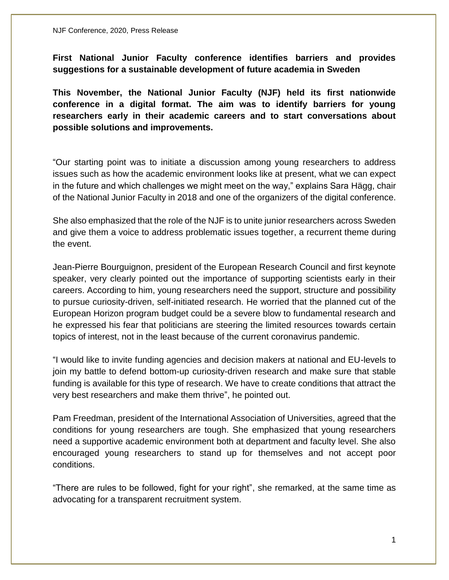**First National Junior Faculty conference identifies barriers and provides suggestions for a sustainable development of future academia in Sweden** 

**This November, the National Junior Faculty (NJF) held its first nationwide conference in a digital format. The aim was to identify barriers for young researchers early in their academic careers and to start conversations about possible solutions and improvements.** 

"Our starting point was to initiate a discussion among young researchers to address issues such as how the academic environment looks like at present, what we can expect in the future and which challenges we might meet on the way," explains Sara Hägg, chair of the National Junior Faculty in 2018 and one of the organizers of the digital conference.

She also emphasized that the role of the NJF is to unite junior researchers across Sweden and give them a voice to address problematic issues together, a recurrent theme during the event.

Jean-Pierre Bourguignon, president of the European Research Council and first keynote speaker, very clearly pointed out the importance of supporting scientists early in their careers. According to him, young researchers need the support, structure and possibility to pursue curiosity-driven, self-initiated research. He worried that the planned cut of the European Horizon program budget could be a severe blow to fundamental research and he expressed his fear that politicians are steering the limited resources towards certain topics of interest, not in the least because of the current coronavirus pandemic.

"I would like to invite funding agencies and decision makers at national and EU-levels to join my battle to defend bottom-up curiosity-driven research and make sure that stable funding is available for this type of research. We have to create conditions that attract the very best researchers and make them thrive", he pointed out.

Pam Freedman, president of the International Association of Universities, agreed that the conditions for young researchers are tough. She emphasized that young researchers need a supportive academic environment both at department and faculty level. She also encouraged young researchers to stand up for themselves and not accept poor conditions.

"There are rules to be followed, fight for your right", she remarked, at the same time as advocating for a transparent recruitment system.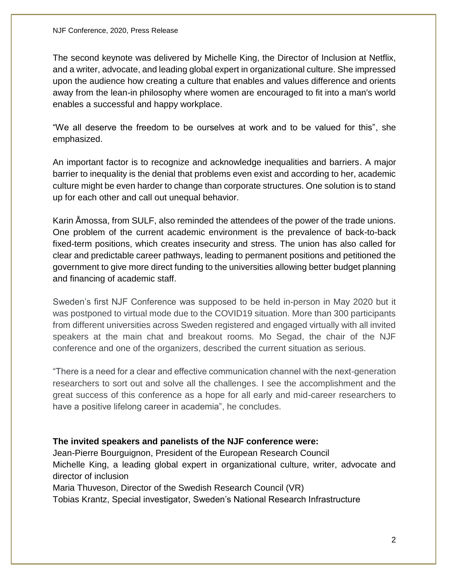The second keynote was delivered by Michelle King, the Director of Inclusion at Netflix, and a writer, advocate, and leading global expert in organizational culture. She impressed upon the audience how creating a culture that enables and values difference and orients away from the lean-in philosophy where women are encouraged to fit into a man's world enables a successful and happy workplace.

"We all deserve the freedom to be ourselves at work and to be valued for this", she emphasized.

An important factor is to recognize and acknowledge inequalities and barriers. A major barrier to inequality is the denial that problems even exist and according to her, academic culture might be even harder to change than corporate structures. One solution is to stand up for each other and call out unequal behavior.

Karin Åmossa, from SULF, also reminded the attendees of the power of the trade unions. One problem of the current academic environment is the prevalence of back-to-back fixed-term positions, which creates insecurity and stress. The union has also called for clear and predictable career pathways, leading to permanent positions and petitioned the government to give more direct funding to the universities allowing better budget planning and financing of academic staff.

Sweden's first NJF Conference was supposed to be held in-person in May 2020 but it was postponed to virtual mode due to the COVID19 situation. More than 300 participants from different universities across Sweden registered and engaged virtually with all invited speakers at the main chat and breakout rooms. Mo Segad, the chair of the NJF conference and one of the organizers, described the current situation as serious.

"There is a need for a clear and effective communication channel with the next-generation researchers to sort out and solve all the challenges. I see the accomplishment and the great success of this conference as a hope for all early and mid-career researchers to have a positive lifelong career in academia", he concludes.

## **The invited speakers and panelists of the NJF conference were:**

Jean-Pierre Bourguignon, President of the European Research Council Michelle King, a leading global expert in organizational culture, writer, advocate and director of inclusion Maria Thuveson, Director of the Swedish Research Council (VR)

Tobias Krantz, Special investigator, Sweden's National Research Infrastructure